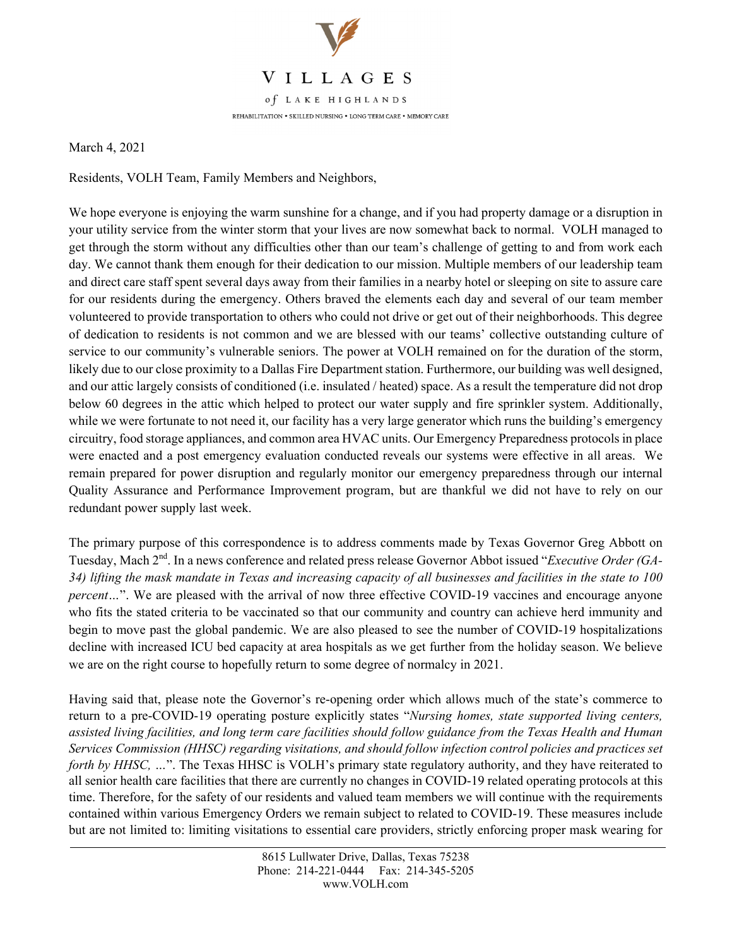

March 4, 2021

Residents, VOLH Team, Family Members and Neighbors,

We hope everyone is enjoying the warm sunshine for a change, and if you had property damage or a disruption in your utility service from the winter storm that your lives are now somewhat back to normal. VOLH managed to get through the storm without any difficulties other than our team's challenge of getting to and from work each day. We cannot thank them enough for their dedication to our mission. Multiple members of our leadership team and direct care staff spent several days away from their families in a nearby hotel or sleeping on site to assure care for our residents during the emergency. Others braved the elements each day and several of our team member volunteered to provide transportation to others who could not drive or get out of their neighborhoods. This degree of dedication to residents is not common and we are blessed with our teams' collective outstanding culture of service to our community's vulnerable seniors. The power at VOLH remained on for the duration of the storm, likely due to our close proximity to a Dallas Fire Department station. Furthermore, our building was well designed, and our attic largely consists of conditioned (i.e. insulated / heated) space. As a result the temperature did not drop below 60 degrees in the attic which helped to protect our water supply and fire sprinkler system. Additionally, while we were fortunate to not need it, our facility has a very large generator which runs the building's emergency circuitry, food storage appliances, and common area HVAC units. Our Emergency Preparedness protocols in place were enacted and a post emergency evaluation conducted reveals our systems were effective in all areas. We remain prepared for power disruption and regularly monitor our emergency preparedness through our internal Quality Assurance and Performance Improvement program, but are thankful we did not have to rely on our redundant power supply last week.

The primary purpose of this correspondence is to address comments made by Texas Governor Greg Abbott on Tuesday, Mach 2nd. In a news conference and related press release Governor Abbot issued "*Executive Order (GA-34) lifting the mask mandate in Texas and increasing capacity of all businesses and facilities in the state to 100 percent...*". We are pleased with the arrival of now three effective COVID-19 vaccines and encourage anyone who fits the stated criteria to be vaccinated so that our community and country can achieve herd immunity and begin to move past the global pandemic. We are also pleased to see the number of COVID-19 hospitalizations decline with increased ICU bed capacity at area hospitals as we get further from the holiday season. We believe we are on the right course to hopefully return to some degree of normalcy in 2021.

Having said that, please note the Governor's re-opening order which allows much of the state's commerce to return to a pre-COVID-19 operating posture explicitly states "*Nursing homes, state supported living centers, assisted living facilities, and long term care facilities should follow guidance from the Texas Health and Human Services Commission (HHSC) regarding visitations, and should follow infection control policies and practices set forth by HHSC, ...*". The Texas HHSC is VOLH's primary state regulatory authority, and they have reiterated to all senior health care facilities that there are currently no changes in COVID-19 related operating protocols at this time. Therefore, for the safety of our residents and valued team members we will continue with the requirements contained within various Emergency Orders we remain subject to related to COVID-19. These measures include but are not limited to: limiting visitations to essential care providers, strictly enforcing proper mask wearing for